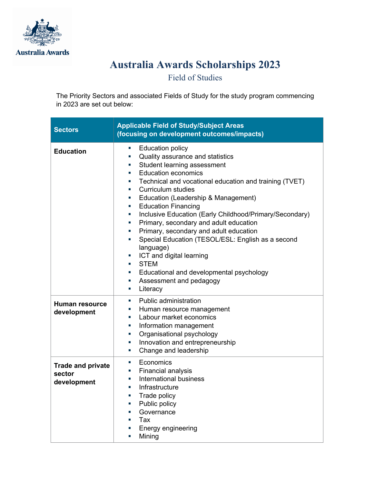

## **Australia Awards Scholarships 2023**

Field of Studies

The Priority Sectors and associated Fields of Study for the study program commencing in 2023 are set out below:

| <b>Sectors</b>                                    | <b>Applicable Field of Study/Subject Areas</b><br>(focusing on development outcomes/impacts)                                                                                                                                                                                                                                                                                                                                                                                                                                                                                                                                                                                                                                                                                                                                                                                                              |
|---------------------------------------------------|-----------------------------------------------------------------------------------------------------------------------------------------------------------------------------------------------------------------------------------------------------------------------------------------------------------------------------------------------------------------------------------------------------------------------------------------------------------------------------------------------------------------------------------------------------------------------------------------------------------------------------------------------------------------------------------------------------------------------------------------------------------------------------------------------------------------------------------------------------------------------------------------------------------|
| <b>Education</b>                                  | <b>Education policy</b><br>a.<br>Quality assurance and statistics<br>$\mathcal{L}_{\mathcal{A}}$<br>Student learning assessment<br>×.<br><b>Education economics</b><br>$\overline{\phantom{a}}$<br>Technical and vocational education and training (TVET)<br><b>Curriculum studies</b><br>$\mathcal{L}_{\mathcal{A}}$<br>Education (Leadership & Management)<br><b>Education Financing</b><br>T.<br>Inclusive Education (Early Childhood/Primary/Secondary)<br>$\sim$<br>Primary, secondary and adult education<br>ш<br>Primary, secondary and adult education<br>$\mathcal{L}_{\mathcal{A}}$<br>Special Education (TESOL/ESL: English as a second<br>×.<br>language)<br>ICT and digital learning<br>m,<br><b>STEM</b><br>$\overline{\phantom{a}}$<br>Educational and developmental psychology<br>$\mathcal{L}_{\mathcal{A}}$<br>Assessment and pedagogy<br>a.<br>Literacy<br>$\mathcal{L}_{\mathcal{A}}$ |
| Human resource<br>development                     | Public administration<br>$\mathcal{L}_{\mathcal{A}}$<br>Human resource management<br>$\mathcal{L}_{\mathcal{A}}$<br>Labour market economics<br>$\mathcal{L}_{\mathcal{A}}$<br>Information management<br>×.<br>Organisational psychology<br>×.<br>Innovation and entrepreneurship<br>T.<br>Change and leadership<br>m,                                                                                                                                                                                                                                                                                                                                                                                                                                                                                                                                                                                     |
| <b>Trade and private</b><br>sector<br>development | Economics<br>$\mathcal{L}_{\mathcal{A}}$<br>Financial analysis<br>×.<br><b>International business</b><br>$\sim$<br>Infrastructure<br>$\overline{\phantom{a}}$<br>Trade policy<br>Public policy<br>Governance<br>Tax<br>Energy engineering<br>Mining                                                                                                                                                                                                                                                                                                                                                                                                                                                                                                                                                                                                                                                       |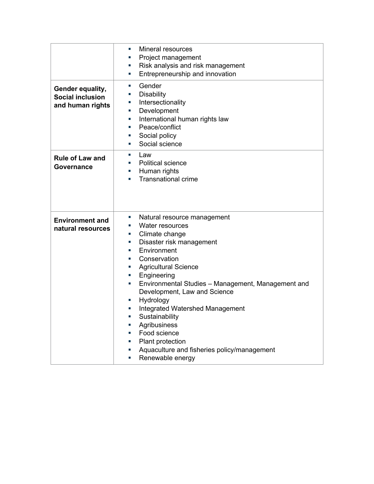| Gender equality,<br><b>Social inclusion</b><br>and human rights | Mineral resources<br>×.<br>Project management<br>×.<br>Risk analysis and risk management<br>×,<br>Entrepreneurship and innovation<br>×.<br>Gender<br>×.<br><b>Disability</b><br>×.<br>Intersectionality<br>×.<br>Development<br>×.<br>International human rights law<br>×.<br>Peace/conflict<br>×.<br>Social policy<br>×.<br>Social science<br>×.                                                                                                                                                              |
|-----------------------------------------------------------------|----------------------------------------------------------------------------------------------------------------------------------------------------------------------------------------------------------------------------------------------------------------------------------------------------------------------------------------------------------------------------------------------------------------------------------------------------------------------------------------------------------------|
| <b>Rule of Law and</b><br>Governance                            | Law<br>×,<br><b>Political science</b><br>×.<br>Human rights<br><b>Transnational crime</b>                                                                                                                                                                                                                                                                                                                                                                                                                      |
| <b>Environment and</b><br>natural resources                     | Natural resource management<br>×.<br>Water resources<br>×.<br>Climate change<br>ш<br>Disaster risk management<br>×.<br>Environment<br>×.<br>Conservation<br>×.<br><b>Agricultural Science</b><br>Engineering<br>×.<br>Environmental Studies - Management, Management and<br>×.<br>Development, Law and Science<br>Hydrology<br><b>Integrated Watershed Management</b><br>Sustainability<br>Agribusiness<br>Food science<br>Plant protection<br>Aquaculture and fisheries policy/management<br>Renewable energy |